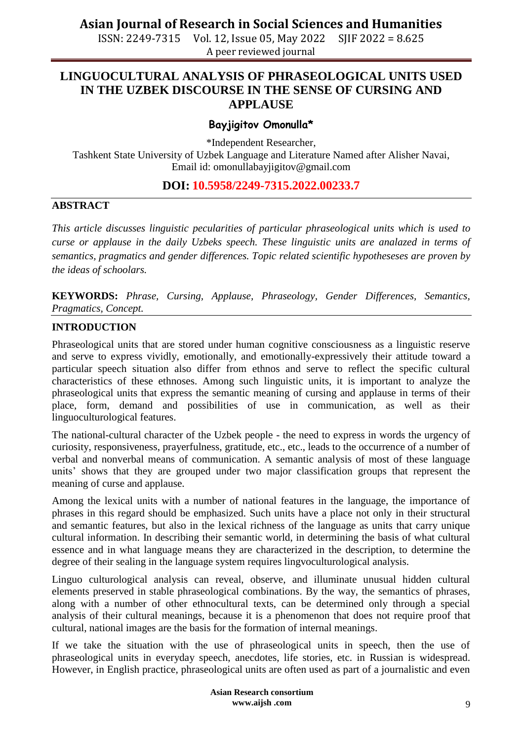ISSN: 2249-7315 Vol. 12, Issue 05, May 2022 SJIF 2022 = 8.625 A peer reviewed journal

### **LINGUOCULTURAL ANALYSIS OF PHRASEOLOGICAL UNITS USED IN THE UZBEK DISCOURSE IN THE SENSE OF CURSING AND APPLAUSE**

### **Bayjigitov Omonulla\***

\*Independent Researcher,

Tashkent State University of Uzbek Language and Literature Named after Alisher Navai, Email id: omonullabayjigitov@gmail.com

### **DOI: 10.5958/2249-7315.2022.00233.7**

#### **ABSTRACT**

*This article discusses linguistic pecularities of particular phraseological units which is used to curse or applause in the daily Uzbeks speech. These linguistic units are analazed in terms of semantics, pragmatics and gender differences. Topic related scientific hypotheseses are proven by the ideas of schoolars.* 

**KEYWORDS:** *Phrase, Cursing, Applause, Phraseology, Gender Differences, Semantics, Pragmatics, Concept.*

#### **INTRODUCTION**

Phraseological units that are stored under human cognitive consciousness as a linguistic reserve and serve to express vividly, emotionally, and emotionally-expressively their attitude toward a particular speech situation also differ from ethnos and serve to reflect the specific cultural characteristics of these ethnoses. Among such linguistic units, it is important to analyze the phraseological units that express the semantic meaning of cursing and applause in terms of their place, form, demand and possibilities of use in communication, as well as their linguoculturological features.

The national-cultural character of the Uzbek people - the need to express in words the urgency of curiosity, responsiveness, prayerfulness, gratitude, etc., etc., leads to the occurrence of a number of verbal and nonverbal means of communication. A semantic analysis of most of these language units' shows that they are grouped under two major classification groups that represent the meaning of curse and applause.

Among the lexical units with a number of national features in the language, the importance of phrases in this regard should be emphasized. Such units have a place not only in their structural and semantic features, but also in the lexical richness of the language as units that carry unique cultural information. In describing their semantic world, in determining the basis of what cultural essence and in what language means they are characterized in the description, to determine the degree of their sealing in the language system requires lingvoculturological analysis.

Linguo culturological analysis can reveal, observe, and illuminate unusual hidden cultural elements preserved in stable phraseological combinations. By the way, the semantics of phrases, along with a number of other ethnocultural texts, can be determined only through a special analysis of their cultural meanings, because it is a phenomenon that does not require proof that cultural, national images are the basis for the formation of internal meanings.

If we take the situation with the use of phraseological units in speech, then the use of phraseological units in everyday speech, anecdotes, life stories, etc. in Russian is widespread. However, in English practice, phraseological units are often used as part of a journalistic and even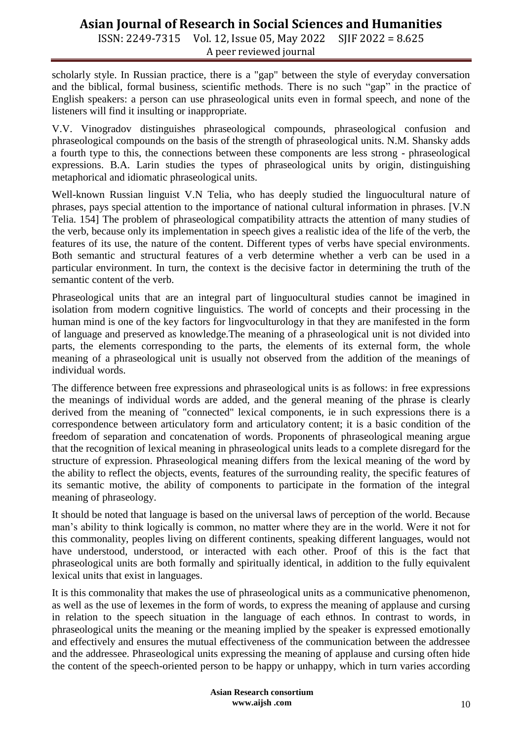ISSN: 2249-7315 Vol. 12, Issue 05, May 2022 SJIF 2022 = 8.625 A peer reviewed journal

scholarly style. In Russian practice, there is a "gap" between the style of everyday conversation and the biblical, formal business, scientific methods. There is no such "gap" in the practice of English speakers: a person can use phraseological units even in formal speech, and none of the listeners will find it insulting or inappropriate.

V.V. Vinogradov distinguishes phraseological compounds, phraseological confusion and phraseological compounds on the basis of the strength of phraseological units. N.M. Shansky adds a fourth type to this, the connections between these components are less strong - phraseological expressions. B.A. Larin studies the types of phraseological units by origin, distinguishing metaphorical and idiomatic phraseological units.

Well-known Russian linguist V.N Telia, who has deeply studied the linguocultural nature of phrases, pays special attention to the importance of national cultural information in phrases. [V.N Telia. 154] The problem of phraseological compatibility attracts the attention of many studies of the verb, because only its implementation in speech gives a realistic idea of the life of the verb, the features of its use, the nature of the content. Different types of verbs have special environments. Both semantic and structural features of a verb determine whether a verb can be used in a particular environment. In turn, the context is the decisive factor in determining the truth of the semantic content of the verb.

Phraseological units that are an integral part of linguocultural studies cannot be imagined in isolation from modern cognitive linguistics. The world of concepts and their processing in the human mind is one of the key factors for lingvoculturology in that they are manifested in the form of language and preserved as knowledge.The meaning of a phraseological unit is not divided into parts, the elements corresponding to the parts, the elements of its external form, the whole meaning of a phraseological unit is usually not observed from the addition of the meanings of individual words.

The difference between free expressions and phraseological units is as follows: in free expressions the meanings of individual words are added, and the general meaning of the phrase is clearly derived from the meaning of "connected" lexical components, ie in such expressions there is a correspondence between articulatory form and articulatory content; it is a basic condition of the freedom of separation and concatenation of words. Proponents of phraseological meaning argue that the recognition of lexical meaning in phraseological units leads to a complete disregard for the structure of expression. Phraseological meaning differs from the lexical meaning of the word by the ability to reflect the objects, events, features of the surrounding reality, the specific features of its semantic motive, the ability of components to participate in the formation of the integral meaning of phraseology.

It should be noted that language is based on the universal laws of perception of the world. Because man's ability to think logically is common, no matter where they are in the world. Were it not for this commonality, peoples living on different continents, speaking different languages, would not have understood, understood, or interacted with each other. Proof of this is the fact that phraseological units are both formally and spiritually identical, in addition to the fully equivalent lexical units that exist in languages.

It is this commonality that makes the use of phraseological units as a communicative phenomenon, as well as the use of lexemes in the form of words, to express the meaning of applause and cursing in relation to the speech situation in the language of each ethnos. In contrast to words, in phraseological units the meaning or the meaning implied by the speaker is expressed emotionally and effectively and ensures the mutual effectiveness of the communication between the addressee and the addressee. Phraseological units expressing the meaning of applause and cursing often hide the content of the speech-oriented person to be happy or unhappy, which in turn varies according

> **Asian Research consortium www.aijsh .com**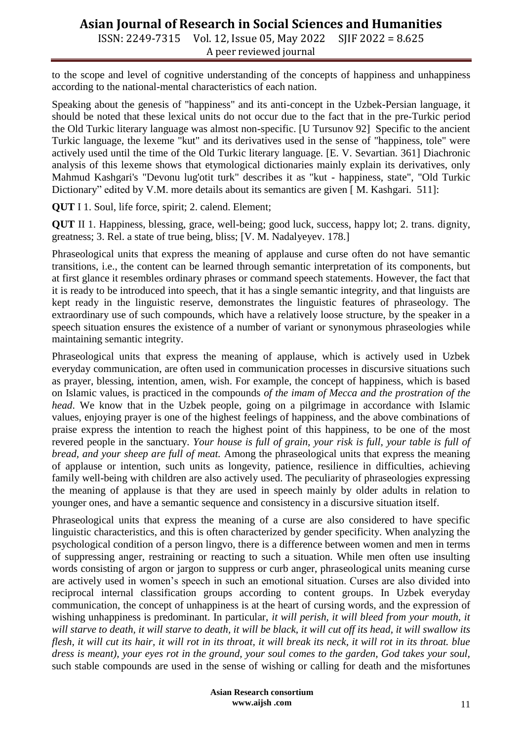ISSN: 2249-7315 Vol. 12, Issue 05, May 2022 SJIF 2022 = 8.625 A peer reviewed journal

to the scope and level of cognitive understanding of the concepts of happiness and unhappiness according to the national-mental characteristics of each nation.

Speaking about the genesis of "happiness" and its anti-concept in the Uzbek-Persian language, it should be noted that these lexical units do not occur due to the fact that in the pre-Turkic period the Old Turkic literary language was almost non-specific. [U Tursunov 92] Specific to the ancient Turkic language, the lexeme "kut" and its derivatives used in the sense of "happiness, tole" were actively used until the time of the Old Turkic literary language. [E. V. Sevartian. 361] Diachronic analysis of this lexeme shows that etymological dictionaries mainly explain its derivatives, only Mahmud Kashgari's "Devonu lug'otit turk" describes it as "kut - happiness, state", "Old Turkic Dictionary" edited by V.M. more details about its semantics are given [M. Kashgari. 511]:

**QUT** I 1. Soul, life force, spirit; 2. calend. Element;

**QUT** II 1. Happiness, blessing, grace, well-being; good luck, success, happy lot; 2. trans. dignity, greatness; 3. Rel. a state of true being, bliss; [V. M. Nadalyeyev. 178.]

Phraseological units that express the meaning of applause and curse often do not have semantic transitions, i.e., the content can be learned through semantic interpretation of its components, but at first glance it resembles ordinary phrases or command speech statements. However, the fact that it is ready to be introduced into speech, that it has a single semantic integrity, and that linguists are kept ready in the linguistic reserve, demonstrates the linguistic features of phraseology. The extraordinary use of such compounds, which have a relatively loose structure, by the speaker in a speech situation ensures the existence of a number of variant or synonymous phraseologies while maintaining semantic integrity.

Phraseological units that express the meaning of applause, which is actively used in Uzbek everyday communication, are often used in communication processes in discursive situations such as prayer, blessing, intention, amen, wish. For example, the concept of happiness, which is based on Islamic values, is practiced in the compounds *of the imam of Mecca and the prostration of the head*. We know that in the Uzbek people, going on a pilgrimage in accordance with Islamic values, enjoying prayer is one of the highest feelings of happiness, and the above combinations of praise express the intention to reach the highest point of this happiness, to be one of the most revered people in the sanctuary. *Your house is full of grain, your risk is full, your table is full of bread, and your sheep are full of meat.* Among the phraseological units that express the meaning of applause or intention, such units as longevity, patience, resilience in difficulties, achieving family well-being with children are also actively used. The peculiarity of phraseologies expressing the meaning of applause is that they are used in speech mainly by older adults in relation to younger ones, and have a semantic sequence and consistency in a discursive situation itself.

Phraseological units that express the meaning of a curse are also considered to have specific linguistic characteristics, and this is often characterized by gender specificity. When analyzing the psychological condition of a person lingvo, there is a difference between women and men in terms of suppressing anger, restraining or reacting to such a situation. While men often use insulting words consisting of argon or jargon to suppress or curb anger, phraseological units meaning curse are actively used in women's speech in such an emotional situation. Curses are also divided into reciprocal internal classification groups according to content groups. In Uzbek everyday communication, the concept of unhappiness is at the heart of cursing words, and the expression of wishing unhappiness is predominant. In particular, *it will perish, it will bleed from your mouth, it will starve to death, it will starve to death, it will be black, it will cut off its head, it will swallow its flesh, it will cut its hair, it will rot in its throat, it will break its neck, it will rot in its throat. blue dress is meant), your eyes rot in the ground, your soul comes to the garden, God takes your soul,*  such stable compounds are used in the sense of wishing or calling for death and the misfortunes

> **Asian Research consortium www.aijsh .com**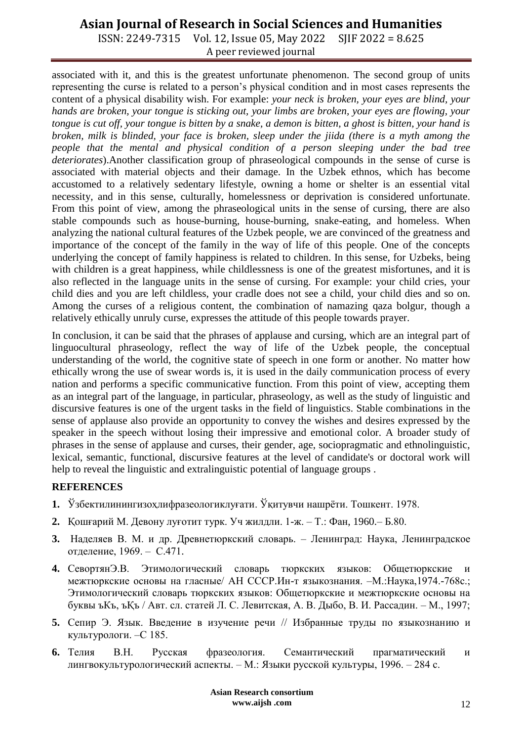ISSN: 2249-7315 Vol. 12, Issue 05, May 2022 SJIF 2022 = 8.625 A peer reviewed journal

associated with it, and this is the greatest unfortunate phenomenon. The second group of units representing the curse is related to a person's physical condition and in most cases represents the content of a physical disability wish. For example: *your neck is broken, your eyes are blind, your hands are broken, your tongue is sticking out, your limbs are broken, your eyes are flowing, your tongue is cut off, your tongue is bitten by a snake, a demon is bitten, a ghost is bitten, your hand is broken, milk is blinded, your face is broken, sleep under the jiida (there is a myth among the people that the mental and physical condition of a person sleeping under the bad tree deteriorates*).Another classification group of phraseological compounds in the sense of curse is associated with material objects and their damage. In the Uzbek ethnos, which has become accustomed to a relatively sedentary lifestyle, owning a home or shelter is an essential vital necessity, and in this sense, culturally, homelessness or deprivation is considered unfortunate. From this point of view, among the phraseological units in the sense of cursing, there are also stable compounds such as house-burning, house-burning, snake-eating, and homeless. When analyzing the national cultural features of the Uzbek people, we are convinced of the greatness and importance of the concept of the family in the way of life of this people. One of the concepts underlying the concept of family happiness is related to children. In this sense, for Uzbeks, being with children is a great happiness, while childlessness is one of the greatest misfortunes, and it is also reflected in the language units in the sense of cursing. For example: your child cries, your child dies and you are left childless, your cradle does not see a child, your child dies and so on. Among the curses of a religious content, the combination of namazing qaza bolgur, though a relatively ethically unruly curse, expresses the attitude of this people towards prayer.

In conclusion, it can be said that the phrases of applause and cursing, which are an integral part of linguocultural phraseology, reflect the way of life of the Uzbek people, the conceptual understanding of the world, the cognitive state of speech in one form or another. No matter how ethically wrong the use of swear words is, it is used in the daily communication process of every nation and performs a specific communicative function. From this point of view, accepting them as an integral part of the language, in particular, phraseology, as well as the study of linguistic and discursive features is one of the urgent tasks in the field of linguistics. Stable combinations in the sense of applause also provide an opportunity to convey the wishes and desires expressed by the speaker in the speech without losing their impressive and emotional color. A broader study of phrases in the sense of applause and curses, their gender, age, sociopragmatic and ethnolinguistic, lexical, semantic, functional, discursive features at the level of candidate's or doctoral work will help to reveal the linguistic and extralinguistic potential of language groups .

#### **REFERENCES**

- **1.** Ўзбектилинингизоҳлифразеологиклуғати. Ўқитувчи нашрѐти. Тошкент. 1978.
- **2.** Қошғарий М. Девону луғотит турк. Уч жилдли. 1-ж. Т.: Фан, 1960.– Б.80.
- **3.** Наделяев В. М. и др. Древнетюркский словарь. Ленинград: Наука, Ленинградское отделение, 1969. – С.471.
- **4.** СевортянЭ.В. Этимологический словарь тюркских языков: Общетюркские и межтюркские основы на гласные/ АН СССР.Ин-т языкознания. –М.:Наука,1974.-768с.; Этимологический словарь тюркских языков: Общетюркские и межтюркские основы на буквы ъКъ, ъҚъ / Авт. сл. статей Л. С. Левитская, А. В. Дыбо, В. И. Рассадин. – М., 1997;
- **5.** Сепир Э. Язык. Введение в изучение речи // Избранные труды по языкознанию и культурологи. –С 185.
- **6.** Телия В.Н. Русская фразеология. Семантический прагматический и лингвокультурологический аспекты. – М.: Языки русской культуры, 1996. – 284 с.